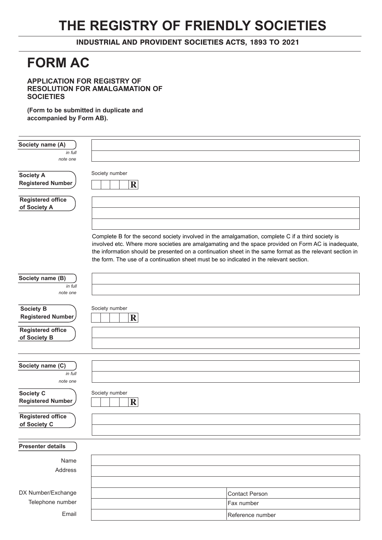# **THE REGISTRY OF FRIENDLY SOCIETIES**

INDUSTRIAL AND PROVIDENT SOCIETIES ACTS, 1893 TO 2021

# **FORM AC**

**APPLICATION FOR REGISTRY OF RESOLUTION FOR AMALGAMATION OF SOCIETIES** 

**(Form to be submitted in duplicate and accompanied by Form AB).**

| Society name (A)                         |                                                                                                                                                                                                                                                                                                                                                                                                                  |
|------------------------------------------|------------------------------------------------------------------------------------------------------------------------------------------------------------------------------------------------------------------------------------------------------------------------------------------------------------------------------------------------------------------------------------------------------------------|
| in full<br>note one                      |                                                                                                                                                                                                                                                                                                                                                                                                                  |
| <b>Society A</b><br>Registered Number    | Society number<br>$\mathbf R$                                                                                                                                                                                                                                                                                                                                                                                    |
| <b>Registered office</b><br>of Society A |                                                                                                                                                                                                                                                                                                                                                                                                                  |
|                                          | Complete B for the second society involved in the amalgamation, complete C if a third society is<br>involved etc. Where more societies are amalgamating and the space provided on Form AC is inadequate,<br>the information should be presented on a continuation sheet in the same format as the relevant section in<br>the form. The use of a continuation sheet must be so indicated in the relevant section. |
| Society name (B)<br>in full<br>note one  |                                                                                                                                                                                                                                                                                                                                                                                                                  |
| <b>Society B</b><br>Registered Number    | Society number<br>$\mathbf{R}$                                                                                                                                                                                                                                                                                                                                                                                   |
| <b>Registered office</b><br>of Society B |                                                                                                                                                                                                                                                                                                                                                                                                                  |
| Society name (C)<br>in full<br>note one  |                                                                                                                                                                                                                                                                                                                                                                                                                  |
| <b>Society C</b><br>Registered Number    | Society number<br>$\mathbf R$                                                                                                                                                                                                                                                                                                                                                                                    |
| <b>Registered office</b><br>of Society C |                                                                                                                                                                                                                                                                                                                                                                                                                  |
| <b>Presenter details</b>                 |                                                                                                                                                                                                                                                                                                                                                                                                                  |
| Name<br>Address                          |                                                                                                                                                                                                                                                                                                                                                                                                                  |
| DX Number/Exchange<br>Telephone number   | <b>Contact Person</b><br>Fax number                                                                                                                                                                                                                                                                                                                                                                              |
| Email                                    | Reference number                                                                                                                                                                                                                                                                                                                                                                                                 |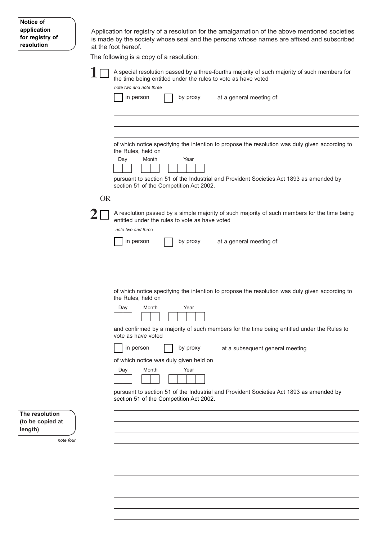| Notice of       |  |
|-----------------|--|
| application     |  |
| for registry of |  |
| resolution      |  |

Application for registry of a resolution for the amalgamation of the above mentioned societies is made by the society whose seal and the persons whose names are affixed and subscribed at the foot hereof.

The following is a copy of a resolution:



A special resolution passed by a three-fourths majority of such majority of such members for the time being entitled under the rules to vote as have voted

|           | note two and note three                                                                                                                        |
|-----------|------------------------------------------------------------------------------------------------------------------------------------------------|
|           | in person<br>by proxy<br>at a general meeting of:                                                                                              |
|           |                                                                                                                                                |
|           |                                                                                                                                                |
|           |                                                                                                                                                |
|           | of which notice specifying the intention to propose the resolution was duly given according to<br>the Rules, held on                           |
|           | Day<br>Month<br>Year                                                                                                                           |
|           | pursuant to section 51 of the Industrial and Provident Societies Act 1893 as amended by<br>section 51 of the Competition Act 2002.             |
| <b>OR</b> |                                                                                                                                                |
|           | A resolution passed by a simple majority of such majority of such members for the time being<br>entitled under the rules to vote as have voted |

*note two and three* 

|                                                                                                                      | note two and three                                                                                                                 |
|----------------------------------------------------------------------------------------------------------------------|------------------------------------------------------------------------------------------------------------------------------------|
|                                                                                                                      | in person<br>by proxy<br>at a general meeting of:                                                                                  |
|                                                                                                                      |                                                                                                                                    |
|                                                                                                                      |                                                                                                                                    |
|                                                                                                                      |                                                                                                                                    |
| of which notice specifying the intention to propose the resolution was duly given according to<br>the Rules, held on |                                                                                                                                    |
|                                                                                                                      | Day<br>Month<br>Year                                                                                                               |
|                                                                                                                      | and confirmed by a majority of such members for the time being entitled under the Rules to<br>vote as have voted                   |
|                                                                                                                      | in person<br>by proxy<br>at a subsequent general meeting                                                                           |
|                                                                                                                      | of which notice was duly given held on                                                                                             |
|                                                                                                                      | Month<br>Day<br>Year                                                                                                               |
|                                                                                                                      |                                                                                                                                    |
|                                                                                                                      | pursuant to section 51 of the Industrial and Provident Societies Act 1893 as amended by<br>section 51 of the Competition Act 2002. |
| The resolution                                                                                                       |                                                                                                                                    |
| (to be copied at<br>length)                                                                                          |                                                                                                                                    |
| note four                                                                                                            |                                                                                                                                    |
|                                                                                                                      |                                                                                                                                    |
|                                                                                                                      |                                                                                                                                    |
|                                                                                                                      |                                                                                                                                    |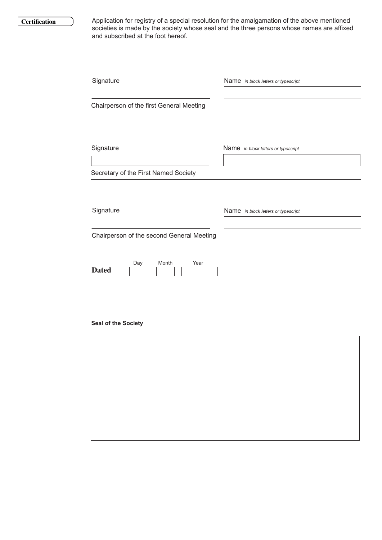#### **Certification**

Application for registry of a special resolution for the amalgamation of the above mentioned societies is made by the society whose seal and the three persons whose names are affixed and subscribed at the foot hereof.

| Signature<br>Chairperson of the first General Meeting                             | Name in block letters or typescript |
|-----------------------------------------------------------------------------------|-------------------------------------|
| Signature<br>Secretary of the First Named Society                                 | Name in block letters or typescript |
| Signature                                                                         | Name in block letters or typescript |
| Chairperson of the second General Meeting<br>Month<br>Year<br>Day<br><b>Dated</b> |                                     |

# **Seal of the Society**